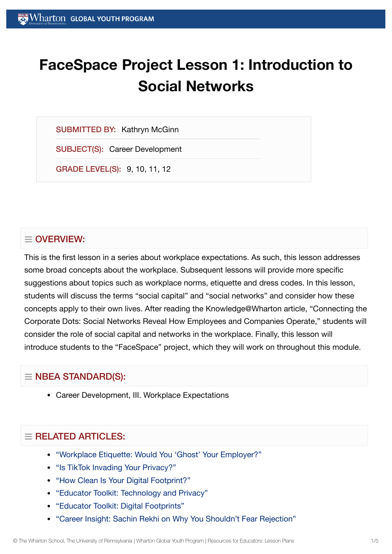# **FaceSpace Project Lesson 1: Introduction to Social Networks**

SUBMITTED BY: Kathryn McGinn

SUBJECT(S): Career Development

GRADE LEVEL(S): 9, 10, 11, 12

## $\equiv$  OVERVIEW:

This is the first lesson in a series about workplace expectations. As such, this lesson addresses some broad concepts about the workplace. Subsequent lessons will provide more specific suggestions about topics such as workplace norms, etiquette and dress codes. In this lesson, students will discuss the terms "social capital" and "social networks" and consider how these concepts apply to their own lives. After reading the Knowledge@Wharton article, "Connecting the Corporate Dots: Social Networks Reveal How Employees and Companies Operate," students will consider the role of social capital and networks in the workplace. Finally, this lesson will introduce students to the "FaceSpace" project, which they will work on throughout this module.

## $\equiv$  NBEA STANDARD(S):

Career Development, III. Workplace Expectations

## $\equiv$  RELATED ARTICLES:

- "Workplace Etiquette: Would You 'Ghost' Your [Employer?"](https://globalyouth.wharton.upenn.edu/articles/ghosting-in-the-workplace/)
- ["Is TikTok](https://globalyouth.wharton.upenn.edu/articles/is-tiktok-invading-your-privacy/) Invading Your Privacy?"
- "How Clean Is Your Digital [Footprint?"](https://globalyouth.wharton.upenn.edu/articles/clean_digital_footprint/)
- "Educator Toolkit: [Technology and](https://globalyouth.wharton.upenn.edu/articles/educator-toolkit-technology-privacy/) Privacy"
- "Educator Toolkit: Digital [Footprints"](https://globalyouth.wharton.upenn.edu/articles/july-2017-digital-footprints/)
- "Career Insight: Sachin Rekhi on Why You Shouldn't Fear [Rejection"](https://globalyouth.wharton.upenn.edu/articles/career-insight-sachin-rekhi-on-why-you-shouldnt-fear-rejection/)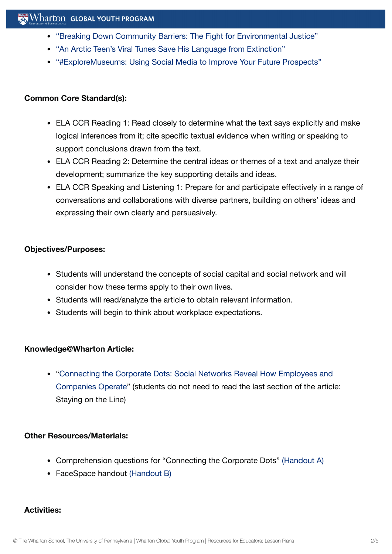- "Breaking Down [Community Barriers:](https://globalyouth.wharton.upenn.edu/articles/breaking-down-community-barriers-the-fight-for-environmental-justice/) The Fight for Environmental Justice"
- "An Arctic Teen's Viral Tunes Save [His Language](https://globalyouth.wharton.upenn.edu/articles/arctic-teen-saves-language-extinction/) from Extinction"
- ["#ExploreMuseums:](https://globalyouth.wharton.upenn.edu/articles/using_social_media_wisely/) Using Social Media to Improve Your Future Prospects"

#### **Common Core Standard(s):**

- ELA CCR Reading 1: Read closely to determine what the text says explicitly and make logical inferences from it; cite specific textual evidence when writing or speaking to support conclusions drawn from the text.
- ELA CCR Reading 2: Determine the central ideas or themes of a text and analyze their development; summarize the key supporting details and ideas.
- ELA CCR Speaking and Listening 1: Prepare for and participate effectively in a range of conversations and collaborations with diverse partners, building on others' ideas and expressing their own clearly and persuasively.

#### **Objectives/Purposes:**

- Students will understand the concepts of social capital and social network and will consider how these terms apply to their own lives.
- Students will read/analyze the article to obtain relevant information.
- Students will begin to think about workplace expectations.

#### **Knowledge@Wharton Article:**

"Connecting the Corporate Dots: Social Networks Reveal How Employees and [Companies Operate"](http://knowledge.wharton.upenn.edu/article.cfm?articleid=1500) (students do not need to read the last section of the article: Staying on the Line)

#### **Other Resources/Materials:**

- Comprehension questions for "Connecting the Corporate Dots" [\(Handout](https://globalyouth.wharton.upenn.edu/wp-content/uploads/2012/01/Career-Development-19_HandoutA.pdf) A)
- FaceSpace handout [\(Handout](https://globalyouth.wharton.upenn.edu/wp-content/uploads/2012/01/Career-Development-19_handoutB.pdf) B)

#### **Activities:**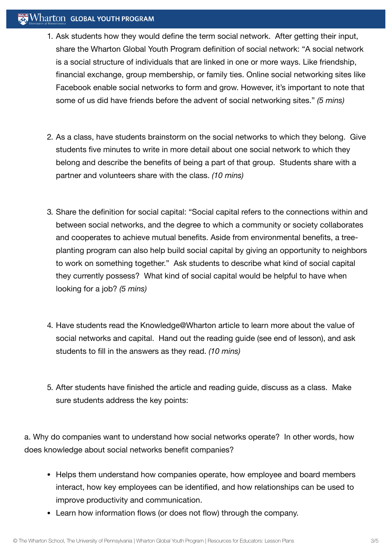#### $\mathbb{R}$  Wharton Global Youth Program

- 1. Ask students how they would define the term social network. After getting their input, share the Wharton Global Youth Program definition of social network: "A social network is a social structure of individuals that are linked in one or more ways. Like friendship, financial exchange, group membership, or family ties. Online social networking sites like Facebook enable social networks to form and grow. However, it's important to note that some of us did have friends before the advent of social networking sites." *(5 mins)*
- 2. As a class, have students brainstorm on the social networks to which they belong. Give students five minutes to write in more detail about one social network to which they belong and describe the benefits of being a part of that group. Students share with a partner and volunteers share with the class. *(10 mins)*
- 3. Share the definition for social capital: "Social capital refers to the connections within and between social networks, and the degree to which a community or society collaborates and cooperates to achieve mutual benefits. Aside from environmental benefits, a treeplanting program can also help build social capital by giving an opportunity to neighbors to work on something together." Ask students to describe what kind of social capital they currently possess? What kind of social capital would be helpful to have when looking for a job? *(5 mins)*
- 4. Have students read the Knowledge@Wharton article to learn more about the value of social networks and capital. Hand out the reading guide (see end of lesson), and ask students to fill in the answers as they read. *(10 mins)*
- 5. After students have finished the article and reading guide, discuss as a class. Make sure students address the key points:

a. Why do companies want to understand how social networks operate? In other words, how does knowledge about social networks benefit companies?

- Helps them understand how companies operate, how employee and board members interact, how key employees can be identified, and how relationships can be used to improve productivity and communication.
- Learn how information flows (or does not flow) through the company.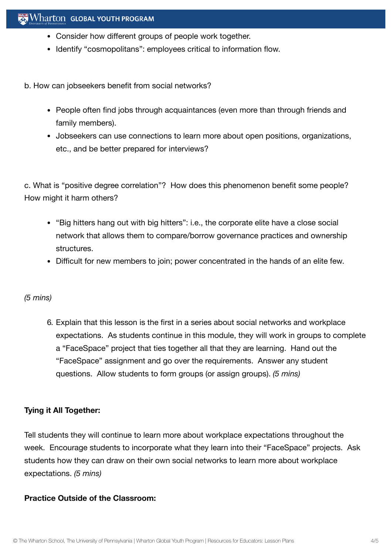- Consider how different groups of people work together.
- Identify "cosmopolitans": employees critical to information flow.

b. How can jobseekers benefit from social networks?

- People often find jobs through acquaintances (even more than through friends and family members).
- Jobseekers can use connections to learn more about open positions, organizations, etc., and be better prepared for interviews?

c. What is "positive degree correlation"? How does this phenomenon benefit some people? How might it harm others?

- "Big hitters hang out with big hitters": i.e., the corporate elite have a close social network that allows them to compare/borrow governance practices and ownership structures.
- Difficult for new members to join; power concentrated in the hands of an elite few.

#### *(5 mins)*

6. Explain that this lesson is the first in a series about social networks and workplace expectations. As students continue in this module, they will work in groups to complete a "FaceSpace" project that ties together all that they are learning. Hand out the "FaceSpace" assignment and go over the requirements. Answer any student questions. Allow students to form groups (or assign groups). *(5 mins)*

#### **Tying it All Together:**

Tell students they will continue to learn more about workplace expectations throughout the week. Encourage students to incorporate what they learn into their "FaceSpace" projects. Ask students how they can draw on their own social networks to learn more about workplace expectations. *(5 mins)*

#### **Practice Outside of the Classroom:**